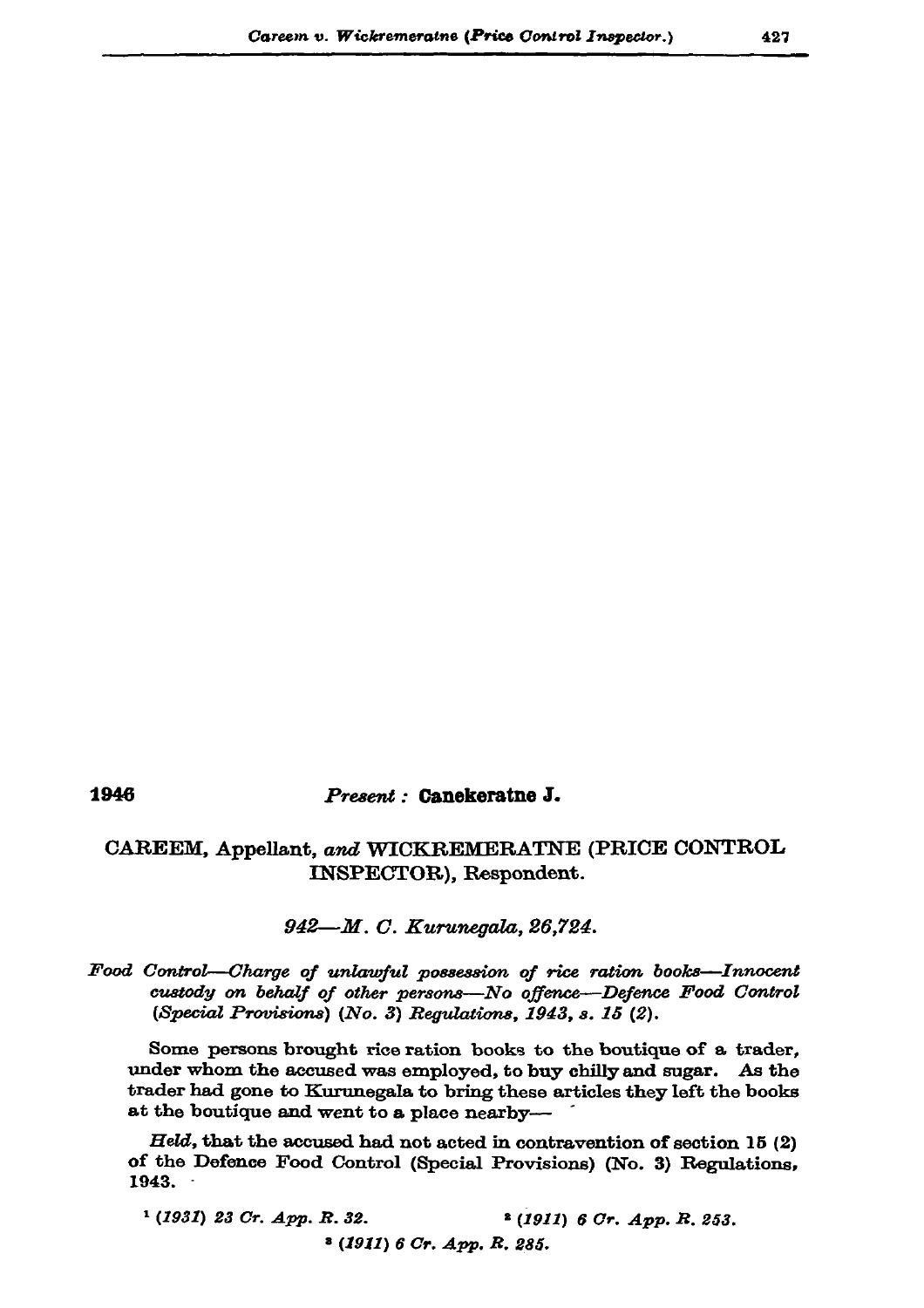## 1946

## Present: Canekeratne J.

## CAREEM, Appellant, and WICKREMERATNE (PRICE CONTROL INSPECTOR), Respondent.

942—M. C. Kurunegala, 26,724.

## Food Control-Charge of unlawful possession of rice ration books-Innocent custody on behalf of other persons-No offence-Defence Food Control (Special Provisions) (No. 3) Regulations, 1943, s. 15 (2).

Some persons brought rice ration books to the boutique of a trader, under whom the accused was employed, to buy chilly and sugar. As the trader had gone to Kurunegala to bring these articles they left the books at the boutique and went to a place nearby-

 $Held$ , that the accused had not acted in contravention of section 15 (2) of the Defence Food Control (Special Provisions) (No. 3) Regulations, 1943.

 $(1931)$  23 Cr. App. R. 32. <sup>2</sup> (1911) 6 Or. App. R. 253.  $(1911)$  6 Cr. App. R. 285.